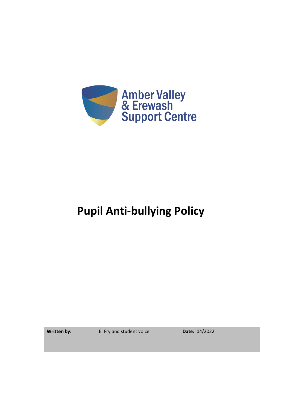

# **Pupil Anti-bullying Policy**

**Written by:** E. Fry and student voice **Date:** 04/2022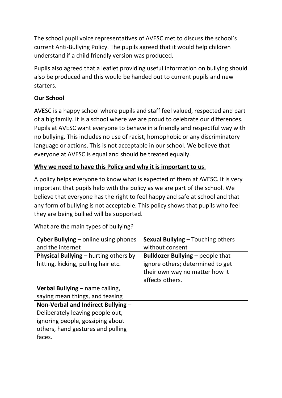The school pupil voice representatives of AVESC met to discuss the school's current Anti-Bullying Policy. The pupils agreed that it would help children understand if a child friendly version was produced.

Pupils also agreed that a leaflet providing useful information on bullying should also be produced and this would be handed out to current pupils and new starters.

## **Our School**

AVESC is a happy school where pupils and staff feel valued, respected and part of a big family. It is a school where we are proud to celebrate our differences. Pupils at AVESC want everyone to behave in a friendly and respectful way with no bullying. This includes no use of racist, homophobic or any discriminatory language or actions. This is not acceptable in our school. We believe that everyone at AVESC is equal and should be treated equally.

#### **Why we need to have this Policy and why it is important to us**.

A policy helps everyone to know what is expected of them at AVESC. It is very important that pupils help with the policy as we are part of the school. We believe that everyone has the right to feel happy and safe at school and that any form of bullying is not acceptable. This policy shows that pupils who feel they are being bullied will be supported.

| <b>Cyber Bullying - online using phones</b><br>and the internet                     | <b>Sexual Bullying - Touching others</b><br>without consent                                                                      |
|-------------------------------------------------------------------------------------|----------------------------------------------------------------------------------------------------------------------------------|
| <b>Physical Bullying - hurting others by</b><br>hitting, kicking, pulling hair etc. | <b>Bulldozer Bullying – people that</b><br>ignore others; determined to get<br>their own way no matter how it<br>affects others. |
| Verbal Bullying - name calling,                                                     |                                                                                                                                  |
| saying mean things, and teasing                                                     |                                                                                                                                  |
| Non-Verbal and Indirect Bullying -                                                  |                                                                                                                                  |
| Deliberately leaving people out,                                                    |                                                                                                                                  |
| ignoring people, gossiping about                                                    |                                                                                                                                  |
| others, hand gestures and pulling                                                   |                                                                                                                                  |
| faces.                                                                              |                                                                                                                                  |

What are the main types of bullying?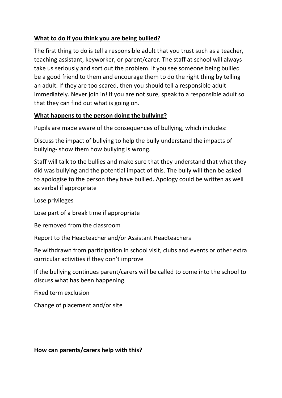## **What to do if you think you are being bullied?**

The first thing to do is tell a responsible adult that you trust such as a teacher, teaching assistant, keyworker, or parent/carer. The staff at school will always take us seriously and sort out the problem. If you see someone being bullied be a good friend to them and encourage them to do the right thing by telling an adult. If they are too scared, then you should tell a responsible adult immediately. Never join in! If you are not sure, speak to a responsible adult so that they can find out what is going on.

## **What happens to the person doing the bullying?**

Pupils are made aware of the consequences of bullying, which includes:

Discuss the impact of bullying to help the bully understand the impacts of bullying- show them how bullying is wrong.

Staff will talk to the bullies and make sure that they understand that what they did was bullying and the potential impact of this. The bully will then be asked to apologise to the person they have bullied. Apology could be written as well as verbal if appropriate

Lose privileges

Lose part of a break time if appropriate

Be removed from the classroom

Report to the Headteacher and/or Assistant Headteachers

Be withdrawn from participation in school visit, clubs and events or other extra curricular activities if they don't improve

If the bullying continues parent/carers will be called to come into the school to discuss what has been happening.

Fixed term exclusion

Change of placement and/or site

#### **How can parents/carers help with this?**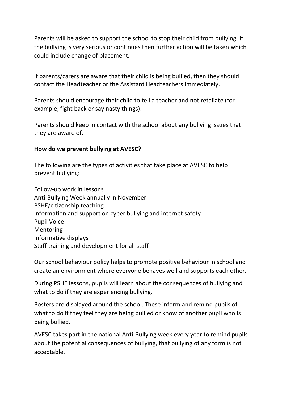Parents will be asked to support the school to stop their child from bullying. If the bullying is very serious or continues then further action will be taken which could include change of placement.

If parents/carers are aware that their child is being bullied, then they should contact the Headteacher or the Assistant Headteachers immediately.

Parents should encourage their child to tell a teacher and not retaliate (for example, fight back or say nasty things).

Parents should keep in contact with the school about any bullying issues that they are aware of.

#### **How do we prevent bullying at AVESC?**

The following are the types of activities that take place at AVESC to help prevent bullying:

Follow-up work in lessons Anti-Bullying Week annually in November PSHE/citizenship teaching Information and support on cyber bullying and internet safety Pupil Voice Mentoring Informative displays Staff training and development for all staff

Our school behaviour policy helps to promote positive behaviour in school and create an environment where everyone behaves well and supports each other.

During PSHE lessons, pupils will learn about the consequences of bullying and what to do if they are experiencing bullying.

Posters are displayed around the school. These inform and remind pupils of what to do if they feel they are being bullied or know of another pupil who is being bullied.

AVESC takes part in the national Anti-Bullying week every year to remind pupils about the potential consequences of bullying, that bullying of any form is not acceptable.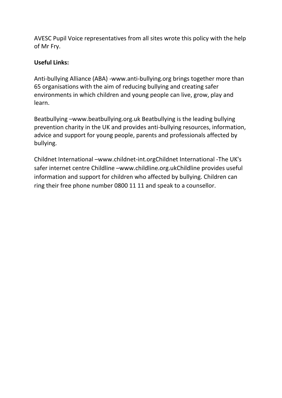AVESC Pupil Voice representatives from all sites wrote this policy with the help of Mr Fry.

## **Useful Links:**

Anti-bullying Alliance (ABA) -www.anti-bullying.org brings together more than 65 organisations with the aim of reducing bullying and creating safer environments in which children and young people can live, grow, play and learn.

Beatbullying –www.beatbullying.org.uk Beatbullying is the leading bullying prevention charity in the UK and provides anti-bullying resources, information, advice and support for young people, parents and professionals affected by bullying.

Childnet International –www.childnet-int.orgChildnet International -The UK's safer internet centre Childline –www.childline.org.ukChildline provides useful information and support for children who affected by bullying. Children can ring their free phone number 0800 11 11 and speak to a counsellor.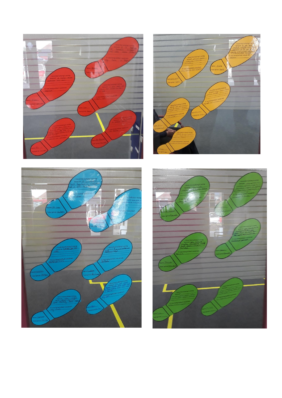





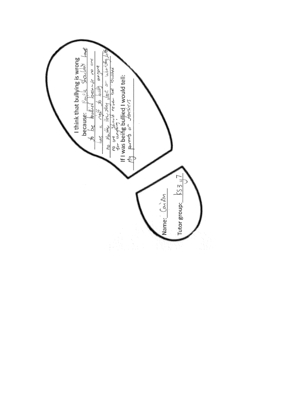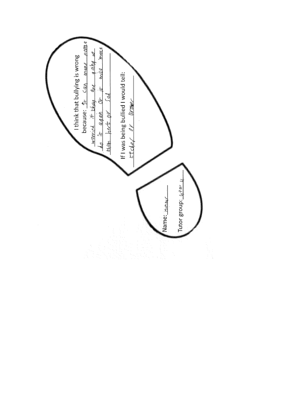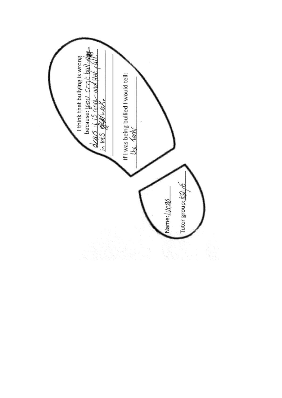